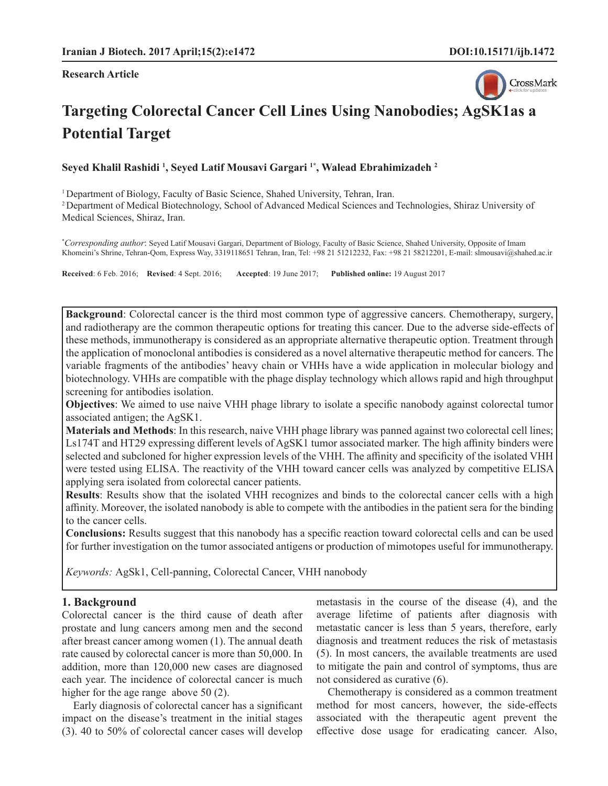#### **Research Article**



# **Targeting Colorectal Cancer Cell Lines Using Nanobodies; AgSK1as a Potential Target**

**Seyed Khalil Rashidi 1 , Seyed Latif Mousavi Gargari 1\*, Walead Ebrahimizadeh 2**

1 Department of Biology, Faculty of Basic Science, Shahed University, Tehran, Iran.

2 Department of Medical Biotechnology, School of Advanced Medical Sciences and Technologies, Shiraz University of Medical Sciences, Shiraz, Iran.

\* *Corresponding author*: Seyed Latif Mousavi Gargari, Department of Biology, Faculty of Basic Science, Shahed University, Opposite of Imam Khomeini's Shrine, Tehran-Qom, Express Way, 3319118651 Tehran, Iran, Tel: +98 21 51212232, Fax: +98 21 58212201, E-mail: slmousavi@shahed.ac.ir

**Received**: 6 Feb. 2016; **Revised**: 4 Sept. 2016; **Accepted**: 19 June 2017; **Published online:** 19 August 2017

**Background**: Colorectal cancer is the third most common type of aggressive cancers. Chemotherapy, surgery, and radiotherapy are the common therapeutic options for treating this cancer. Due to the adverse side-effects of these methods, immunotherapy is considered as an appropriate alternative therapeutic option. Treatment through the application of monoclonal antibodies is considered as a novel alternative therapeutic method for cancers. The variable fragments of the antibodies' heavy chain or VHHs have a wide application in molecular biology and biotechnology. VHHs are compatible with the phage display technology which allows rapid and high throughput screening for antibodies isolation.

**Objectives**: We aimed to use naive VHH phage library to isolate a specific nanobody against colorectal tumor associated antigen; the AgSK1.

**Materials and Methods**: In this research, naive VHH phage library was panned against two colorectal cell lines; Ls174T and HT29 expressing different levels of AgSK1 tumor associated marker. The high affinity binders were selected and subcloned for higher expression levels of the VHH. The affinity and specificity of the isolated VHH were tested using ELISA. The reactivity of the VHH toward cancer cells was analyzed by competitive ELISA applying sera isolated from colorectal cancer patients.

**Results**: Results show that the isolated VHH recognizes and binds to the colorectal cancer cells with a high affinity. Moreover, the isolated nanobody is able to compete with the antibodies in the patient sera for the binding to the cancer cells.

**Conclusions:** Results suggest that this nanobody has a specific reaction toward colorectal cells and can be used for further investigation on the tumor associated antigens or production of mimotopes useful for immunotherapy.

*Keywords:* AgSk1, Cell-panning, Colorectal Cancer, VHH nanobody

# **1. Background**

Colorectal cancer is the third cause of death after prostate and lung cancers among men and the second after breast cancer among women (1). The annual death rate caused by colorectal cancer is more than 50,000. In addition, more than 120,000 new cases are diagnosed each year. The incidence of colorectal cancer is much higher for the age range above 50 (2).

Early diagnosis of colorectal cancer has a significant impact on the disease's treatment in the initial stages (3). 40 to 50% of colorectal cancer cases will develop metastasis in the course of the disease (4), and the average lifetime of patients after diagnosis with metastatic cancer is less than 5 years, therefore, early diagnosis and treatment reduces the risk of metastasis (5). In most cancers, the available treatments are used to mitigate the pain and control of symptoms, thus are not considered as curative (6).

Chemotherapy is considered as a common treatment method for most cancers, however, the side-effects associated with the therapeutic agent prevent the effective dose usage for eradicating cancer. Also,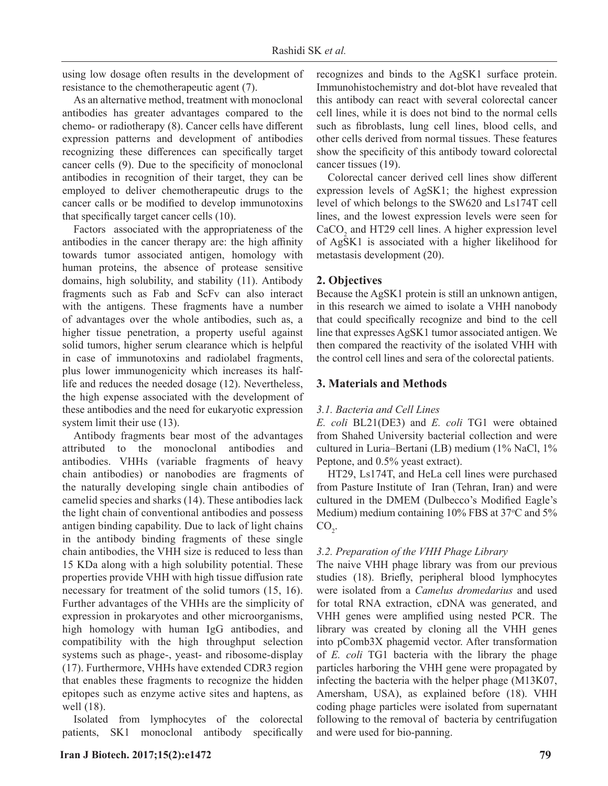using low dosage often results in the development of resistance to the chemotherapeutic agent (7).

As an alternative method, treatment with monoclonal antibodies has greater advantages compared to the chemo- or radiotherapy (8). Cancer cells have different expression patterns and development of antibodies recognizing these differences can specifically target cancer cells (9). Due to the specificity of monoclonal antibodies in recognition of their target, they can be employed to deliver chemotherapeutic drugs to the cancer calls or be modified to develop immunotoxins that specifically target cancer cells (10).

Factors associated with the appropriateness of the antibodies in the cancer therapy are: the high affinity towards tumor associated antigen, homology with human proteins, the absence of protease sensitive domains, high solubility, and stability (11). Antibody fragments such as Fab and ScFv can also interact with the antigens. These fragments have a number of advantages over the whole antibodies, such as, a higher tissue penetration, a property useful against solid tumors, higher serum clearance which is helpful in case of immunotoxins and radiolabel fragments, plus lower immunogenicity which increases its halflife and reduces the needed dosage (12). Nevertheless, the high expense associated with the development of these antibodies and the need for eukaryotic expression system limit their use  $(13)$ .

Antibody fragments bear most of the advantages attributed to the monoclonal antibodies and antibodies. VHHs (variable fragments of heavy chain antibodies) or nanobodies are fragments of the naturally developing single chain antibodies of camelid species and sharks (14). These antibodies lack the light chain of conventional antibodies and possess antigen binding capability. Due to lack of light chains in the antibody binding fragments of these single chain antibodies, the VHH size is reduced to less than 15 KDa along with a high solubility potential. These properties provide VHH with high tissue diffusion rate necessary for treatment of the solid tumors (15, 16). Further advantages of the VHHs are the simplicity of expression in prokaryotes and other microorganisms, high homology with human IgG antibodies, and compatibility with the high throughput selection systems such as phage-, yeast- and ribosome-display (17). Furthermore, VHHs have extended CDR3 region that enables these fragments to recognize the hidden epitopes such as enzyme active sites and haptens, as well (18).

Isolated from lymphocytes of the colorectal patients, SK1 monoclonal antibody specifically

**Iran J Biotech. 2017;15(2):e1472 79**

recognizes and binds to the AgSK1 surface protein. Immunohistochemistry and dot-blot have revealed that this antibody can react with several colorectal cancer cell lines, while it is does not bind to the normal cells such as fibroblasts, lung cell lines, blood cells, and other cells derived from normal tissues. These features show the specificity of this antibody toward colorectal cancer tissues (19).

Colorectal cancer derived cell lines show different expression levels of AgSK1; the highest expression level of which belongs to the SW620 and Ls174T cell lines, and the lowest expression levels were seen for  $CaCO<sub>2</sub>$  and HT29 cell lines. A higher expression level of AgSK1 is associated with a higher likelihood for metastasis development (20).

# **2. Objectives**

Because the AgSK1 protein is still an unknown antigen, in this research we aimed to isolate a VHH nanobody that could specifically recognize and bind to the cell line that expresses AgSK1 tumor associated antigen. We then compared the reactivity of the isolated VHH with the control cell lines and sera of the colorectal patients.

# **3. Materials and Methods**

# *3.1. Bacteria and Cell Lines*

*E. coli* BL21(DE3) and *E. coli* TG1 were obtained from Shahed University bacterial collection and were cultured in Luria–Bertani (LB) medium (1% NaCl, 1% Peptone, and 0.5% yeast extract).

HT29, Ls174T, and HeLa cell lines were purchased from Pasture Institute of Iran (Tehran, Iran) and were cultured in the DMEM (Dulbecco's Modified Eagle's Medium) medium containing  $10\%$  FBS at 37 $\degree$ C and 5 $\%$  $CO<sub>2</sub>$ .

# *3.2. Preparation of the VHH Phage Library*

The naive VHH phage library was from our previous studies (18). Briefly, peripheral blood lymphocytes were isolated from a *Camelus dromedarius* and used for total RNA extraction, cDNA was generated, and VHH genes were amplified using nested PCR. The library was created by cloning all the VHH genes into pComb3X phagemid vector. After transformation of *E. coli* TG1 bacteria with the library the phage particles harboring the VHH gene were propagated by infecting the bacteria with the helper phage (M13K07, Amersham, USA), as explained before (18). VHH coding phage particles were isolated from supernatant following to the removal of bacteria by centrifugation and were used for bio-panning.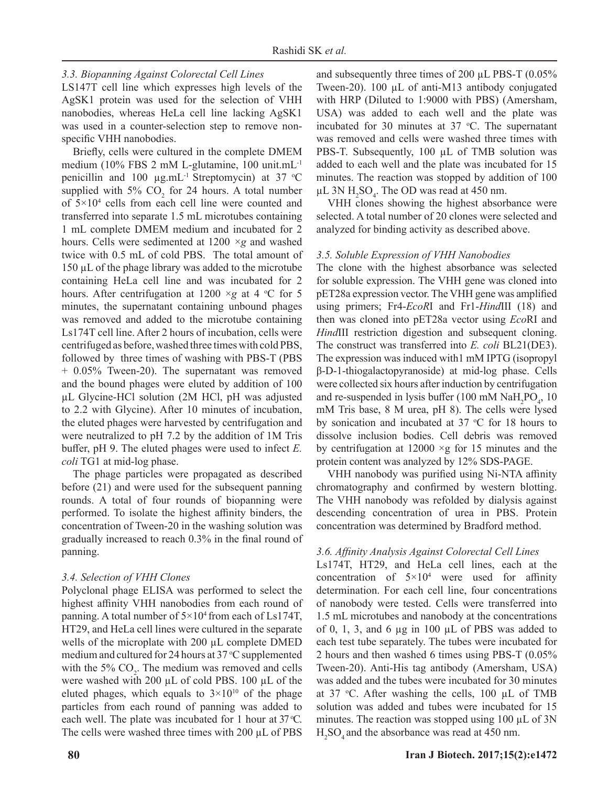# *3.3. Biopanning Against Colorectal Cell Lines*

LS147T cell line which expresses high levels of the AgSK1 protein was used for the selection of VHH nanobodies, whereas HeLa cell line lacking AgSK1 was used in a counter-selection step to remove nonspecific VHH nanobodies.

Briefly, cells were cultured in the complete DMEM medium (10% FBS 2 mM L-glutamine, 100 unit.mL-1 penicillin and 100  $\mu$ g.mL<sup>-1</sup> Streptomycin) at 37 °C supplied with  $5\%$  CO<sub>2</sub> for 24 hours. A total number of 5×104 cells from each cell line were counted and transferred into separate 1.5 mL microtubes containing 1 mL complete DMEM medium and incubated for 2 hours. Cells were sedimented at 1200 *×g* and washed twice with 0.5 mL of cold PBS. The total amount of 150 μL of the phage library was added to the microtube containing HeLa cell line and was incubated for 2 hours. After centrifugation at  $1200 \times g$  at 4 °C for 5 minutes, the supernatant containing unbound phages was removed and added to the microtube containing Ls174T cell line. After 2 hours of incubation, cells were centrifuged as before, washed three times with cold PBS, followed by three times of washing with PBS-T (PBS + 0.05% Tween-20). The supernatant was removed and the bound phages were eluted by addition of 100 μL Glycine-HCl solution (2M HCl, pH was adjusted to 2.2 with Glycine). After 10 minutes of incubation, the eluted phages were harvested by centrifugation and were neutralized to pH 7.2 by the addition of 1M Tris buffer, pH 9. The eluted phages were used to infect *E*. *coli* TG1 at mid-log phase.

The phage particles were propagated as described before (21) and were used for the subsequent panning rounds. A total of four rounds of biopanning were performed. To isolate the highest affinity binders, the concentration of Tween-20 in the washing solution was gradually increased to reach  $0.3\%$  in the final round of panning.

#### *3.4. Selection of VHH Clones*

Polyclonal phage ELISA was performed to select the highest affinity VHH nanobodies from each round of panning. A total number of  $5 \times 10^4$  from each of Ls174T, HT29, and HeLa cell lines were cultured in the separate wells of the microplate with 200 μL complete DMED medium and cultured for 24 hours at 37 °C supplemented with the 5%  $CO_2$ . The medium was removed and cells were washed with 200 μL of cold PBS. 100 μL of the eluted phages, which equals to  $3 \times 10^{10}$  of the phage particles from each round of panning was added to each well. The plate was incubated for 1 hour at  $37^{\circ}$ C. The cells were washed three times with 200 μL of PBS

and subsequently three times of 200 μL PBS-T (0.05% Tween-20). 100 μL of anti-M13 antibody conjugated with HRP (Diluted to 1:9000 with PBS) (Amersham, USA) was added to each well and the plate was incubated for 30 minutes at 37  $^{\circ}$ C. The supernatant was removed and cells were washed three times with PBS-T. Subsequently, 100 μL of TMB solution was added to each well and the plate was incubated for 15 minutes. The reaction was stopped by addition of 100 μL 3N  $H_2$ SO<sub>4</sub>. The OD was read at 450 nm.

VHH clones showing the highest absorbance were selected. A total number of 20 clones were selected and analyzed for binding activity as described above.

#### *3.5. Soluble Expression of VHH Nanobodies*

The clone with the highest absorbance was selected for soluble expression. The VHH gene was cloned into pET28a expression vector. The VHH gene was amplified using primers; Fr4-*EcoR*I and Fr1-*Hind*III (18) and then was cloned into pET28a vector using *Eco*RI and *Hind*III restriction digestion and subsequent cloning. The construct was transferred into *E. coli* BL21(DE3). The expression was induced with1 mM IPTG (isopropyl β-D-1-thiogalactopyranoside) at mid-log phase. Cells were collected six hours after induction by centrifugation and re-suspended in lysis buffer (100 mM  $\text{NaH}_2\text{PO}_4$ , 10 mM Tris base, 8 M urea, pH 8). The cells were lysed by sonication and incubated at  $37 °C$  for 18 hours to dissolve inclusion bodies. Cell debris was removed by centrifugation at  $12000 \times g$  for 15 minutes and the protein content was analyzed by 12% SDS-PAGE.

VHH nanobody was purified using Ni-NTA affinity chromatography and confirmed by western blotting. The VHH nanobody was refolded by dialysis against descending concentration of urea in PBS. Protein concentration was determined by Bradford method.

#### *3.6. Affi nity Analysis Against Colorectal Cell Lines*

Ls174T, HT29, and HeLa cell lines, each at the concentration of  $5 \times 10^4$  were used for affinity determination. For each cell line, four concentrations of nanobody were tested. Cells were transferred into 1.5 mL microtubes and nanobody at the concentrations of 0, 1, 3, and 6  $\mu$ g in 100  $\mu$ L of PBS was added to each test tube separately. The tubes were incubated for 2 hours and then washed 6 times using PBS-T (0.05% Tween-20). Anti-His tag antibody (Amersham, USA) was added and the tubes were incubated for 30 minutes at 37 °C. After washing the cells, 100  $\mu$ L of TMB solution was added and tubes were incubated for 15 minutes. The reaction was stopped using  $100 \mu L$  of  $3N$  $H<sub>2</sub>SO<sub>4</sub>$  and the absorbance was read at 450 nm.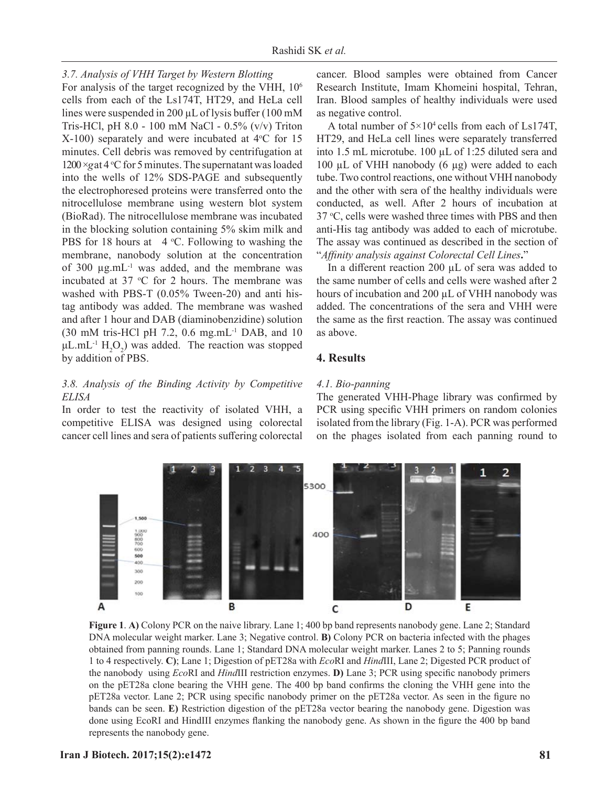## *3.7. Analysis of VHH Target by Western Blotting*

For analysis of the target recognized by the VHH,  $10<sup>6</sup>$ cells from each of the Ls174T, HT29, and HeLa cell lines were suspended in 200  $\mu$ L of lysis buffer (100 mM Tris-HCl, pH 8.0 - 100 mM NaCl - 0.5% (v/v) Triton  $X-100$ ) separately and were incubated at  $4^{\circ}$ C for 15 minutes. Cell debris was removed by centrifugation at 1200 ×gat 4 °C for 5 minutes. The supernatant was loaded into the wells of 12% SDS-PAGE and subsequently the electrophoresed proteins were transferred onto the nitrocellulose membrane using western blot system (BioRad). The nitrocellulose membrane was incubated in the blocking solution containing 5% skim milk and PBS for 18 hours at  $-4$  °C. Following to washing the membrane, nanobody solution at the concentration of 300 μg.mL-1 was added, and the membrane was incubated at  $37$  °C for 2 hours. The membrane was washed with PBS-T (0.05% Tween-20) and anti histag antibody was added. The membrane was washed and after 1 hour and DAB (diaminobenzidine) solution (30 mM tris-HCl pH 7.2, 0.6 mg.mL-1 DAB, and 10  $\mu$ L.mL<sup>-1</sup> H<sub>2</sub>O<sub>2</sub>) was added. The reaction was stopped by addition of PBS.

# *3.8. Analysis of the Binding Activity by Competitive ELISA*

In order to test the reactivity of isolated VHH, a competitive ELISA was designed using colorectal cancer cell lines and sera of patients suffering colorectal cancer. Blood samples were obtained from Cancer Research Institute, Imam Khomeini hospital, Tehran, Iran. Blood samples of healthy individuals were used as negative control.

A total number of  $5 \times 10^4$  cells from each of Ls174T, HT29, and HeLa cell lines were separately transferred into 1.5 mL microtube. 100 μL of 1:25 diluted sera and 100 μL of VHH nanobody (6 μg) were added to each tube. Two control reactions, one without VHH nanobody and the other with sera of the healthy individuals were conducted, as well. After 2 hours of incubation at 37 °C, cells were washed three times with PBS and then anti-His tag antibody was added to each of microtube. The assay was continued as described in the section of "Affinity analysis against Colorectal Cell Lines."

In a different reaction 200  $\mu$ L of sera was added to the same number of cells and cells were washed after 2 hours of incubation and 200 μL of VHH nanobody was added. The concentrations of the sera and VHH were the same as the first reaction. The assay was continued as above.

# **4. Results**

## *4.1. Bio-panning*

The generated VHH-Phage library was confirmed by PCR using specific VHH primers on random colonies isolated from the library (Fig. 1-A). PCR was performed on the phages isolated from each panning round to



**Figure 1**. **A)** Colony PCR on the naive library. Lane 1; 400 bp band represents nanobody gene. Lane 2; Standard DNA molecular weight marker. Lane 3; Negative control. **B)** Colony PCR on bacteria infected with the phages obtained from panning rounds. Lane 1; Standard DNA molecular weight marker. Lanes 2 to 5; Panning rounds 1 to 4 respectively. **C)**; Lane 1; Digestion of pET28a with *Eco*RI and *Hind*III, Lane 2; Digested PCR product of the nanobody using *Eco*RI and *HindIII* restriction enzymes. **D**) Lane 3; PCR using specific nanobody primers on the pET28a clone bearing the VHH gene. The 400 bp band confirms the cloning the VHH gene into the pET28a vector. Lane 2; PCR using specific nanobody primer on the pET28a vector. As seen in the figure no bands can be seen. **E)** Restriction digestion of the pET28a vector bearing the nanobody gene. Digestion was done using EcoRI and HindIII enzymes flanking the nanobody gene. As shown in the figure the 400 bp band represents the nanobody gene.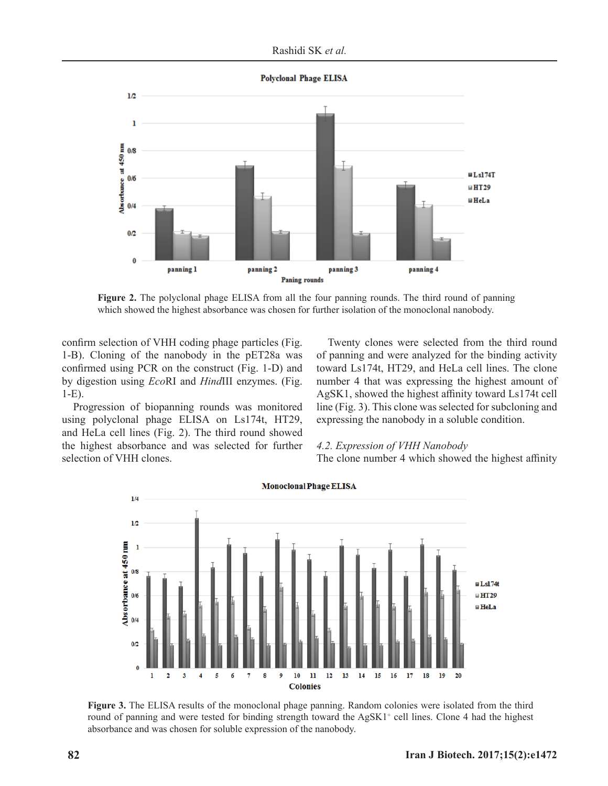**Polyclonal Phage ELISA** 



**Figure 2.** The polyclonal phage ELISA from all the four panning rounds. The third round of panning which showed the highest absorbance was chosen for further isolation of the monoclonal nanobody.

confirm selection of VHH coding phage particles (Fig. 1-B). Cloning of the nanobody in the pET28a was confirmed using PCR on the construct (Fig. 1-D) and by digestion using *Eco*RI and *Hind*III enzymes. (Fig. 1-E).

Progression of biopanning rounds was monitored using polyclonal phage ELISA on Ls174t, HT29, and HeLa cell lines (Fig. 2). The third round showed the highest absorbance and was selected for further selection of VHH clones.

Twenty clones were selected from the third round of panning and were analyzed for the binding activity toward Ls174t, HT29, and HeLa cell lines. The clone number 4 that was expressing the highest amount of AgSK1, showed the highest affinity toward  $Ls174t$  cell line (Fig. 3). This clone was selected for subcloning and expressing the nanobody in a soluble condition.

#### *4.2. Expression of VHH Nanobody*

The clone number 4 which showed the highest affinity



Figure 3. The ELISA results of the monoclonal phage panning. Random colonies were isolated from the third round of panning and were tested for binding strength toward the AgSK1<sup>+</sup> cell lines. Clone 4 had the highest absorbance and was chosen for soluble expression of the nanobody.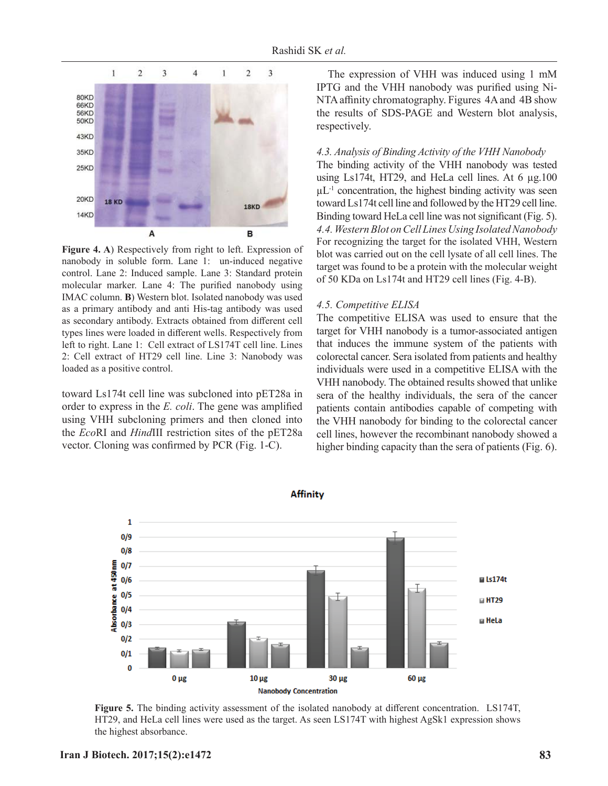

**Figure 4. A**) Respectively from right to left. Expression of nanobody in soluble form. Lane 1: un-induced negative control. Lane 2: Induced sample. Lane 3: Standard protein molecular marker. Lane 4: The purified nanobody using IMAC column. **B**) Western blot. Isolated nanobody was used as a primary antibody and anti His-tag antibody was used as secondary antibody. Extracts obtained from different cell types lines were loaded in different wells. Respectively from left to right. Lane 1: Cell extract of LS174T cell line. Lines 2: Cell extract of HT29 cell line. Line 3: Nanobody was loaded as a positive control.

toward Ls174t cell line was subcloned into pET28a in order to express in the *E. coli*. The gene was amplified using VHH subcloning primers and then cloned into the *Eco*RI and *Hind*III restriction sites of the pET28a vector. Cloning was confirmed by PCR (Fig.  $1-C$ ).

The expression of VHH was induced using 1 mM IPTG and the VHH nanobody was purified using Ni-NTA affinity chromatography. Figures 4A and 4B show the results of SDS-PAGE and Western blot analysis, respectively.

#### *4.3. Analysis of Binding Activity of the VHH Nanobody*

The binding activity of the VHH nanobody was tested using Ls174t, HT29, and HeLa cell lines. At 6 μg.100  $\mu L^{-1}$  concentration, the highest binding activity was seen toward Ls174t cell line and followed by the HT29 cell line. Binding toward HeLa cell line was not significant (Fig. 5). *4.4. Western Blot on Cell Lines Using Isolated Nanobody* For recognizing the target for the isolated VHH, Western blot was carried out on the cell lysate of all cell lines. The target was found to be a protein with the molecular weight of 50 KDa on Ls174t and HT29 cell lines (Fig. 4-B).

#### *4.5. Competitive ELISA*

The competitive ELISA was used to ensure that the target for VHH nanobody is a tumor-associated antigen that induces the immune system of the patients with colorectal cancer. Sera isolated from patients and healthy individuals were used in a competitive ELISA with the VHH nanobody. The obtained results showed that unlike sera of the healthy individuals, the sera of the cancer patients contain antibodies capable of competing with the VHH nanobody for binding to the colorectal cancer cell lines, however the recombinant nanobody showed a higher binding capacity than the sera of patients (Fig. 6).



**Figure 5.** The binding activity assessment of the isolated nanobody at different concentration. LS174T, HT29, and HeLa cell lines were used as the target. As seen LS174T with highest AgSk1 expression shows the highest absorbance.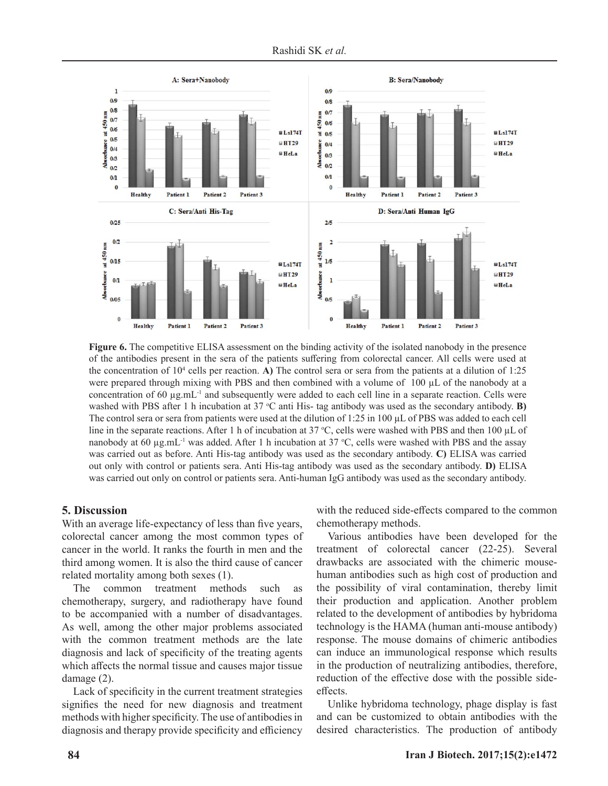



**Figure 6.** The competitive ELISA assessment on the binding activity of the isolated nanobody in the presence of the antibodies present in the sera of the patients suffering from colorectal cancer. All cells were used at the concentration of  $10^4$  cells per reaction. **A**) The control sera or sera from the patients at a dilution of 1:25 were prepared through mixing with PBS and then combined with a volume of 100 μL of the nanobody at a concentration of 60  $\mu$ g.mL<sup>-1</sup> and subsequently were added to each cell line in a separate reaction. Cells were washed with PBS after 1 h incubation at 37 °C anti His- tag antibody was used as the secondary antibody. **B**) The control sera or sera from patients were used at the dilution of 1:25 in 100 μL of PBS was added to each cell line in the separate reactions. After 1 h of incubation at 37 °C, cells were washed with PBS and then 100  $\mu$ L of nanobody at 60  $\mu$ g.mL<sup>-1</sup> was added. After 1 h incubation at 37 °C, cells were washed with PBS and the assay was carried out as before. Anti His-tag antibody was used as the secondary antibody. **C)** ELISA was carried out only with control or patients sera. Anti His-tag antibody was used as the secondary antibody. **D)** ELISA was carried out only on control or patients sera. Anti-human IgG antibody was used as the secondary antibody.

#### **5. Discussion**

With an average life-expectancy of less than five years, colorectal cancer among the most common types of cancer in the world. It ranks the fourth in men and the third among women. It is also the third cause of cancer related mortality among both sexes (1).

The common treatment methods such as chemotherapy, surgery, and radiotherapy have found to be accompanied with a number of disadvantages. As well, among the other major problems associated with the common treatment methods are the late diagnosis and lack of specificity of the treating agents which affects the normal tissue and causes major tissue damage (2).

Lack of specificity in the current treatment strategies signifies the need for new diagnosis and treatment methods with higher specificity. The use of antibodies in diagnosis and therapy provide specificity and efficiency with the reduced side-effects compared to the common chemotherapy methods.

Various antibodies have been developed for the treatment of colorectal cancer (22-25). Several drawbacks are associated with the chimeric mousehuman antibodies such as high cost of production and the possibility of viral contamination, thereby limit their production and application. Another problem related to the development of antibodies by hybridoma technology is the HAMA (human anti-mouse antibody) response. The mouse domains of chimeric antibodies can induce an immunological response which results in the production of neutralizing antibodies, therefore, reduction of the effective dose with the possible sideeffects.

Unlike hybridoma technology, phage display is fast and can be customized to obtain antibodies with the desired characteristics. The production of antibody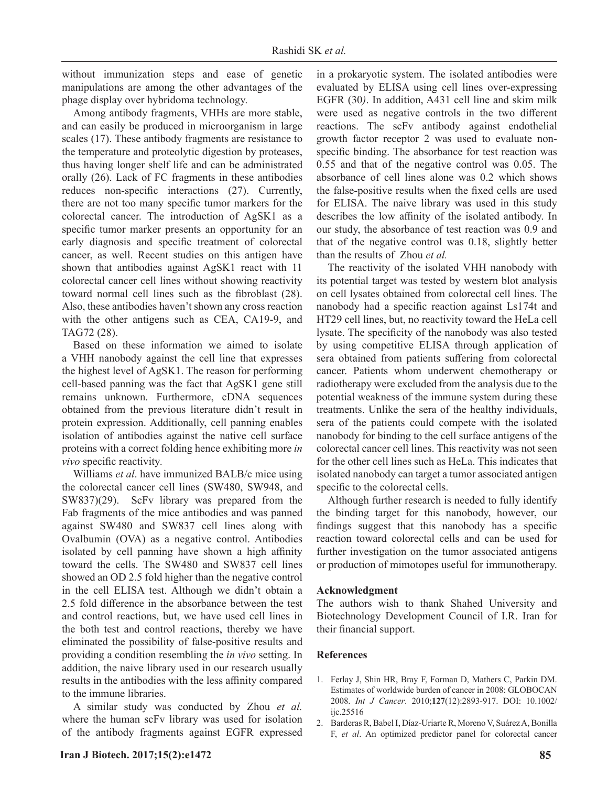without immunization steps and ease of genetic manipulations are among the other advantages of the phage display over hybridoma technology.

Among antibody fragments, VHHs are more stable, and can easily be produced in microorganism in large scales (17). These antibody fragments are resistance to the temperature and proteolytic digestion by proteases, thus having longer shelf life and can be administrated orally (26). Lack of FC fragments in these antibodies reduces non-specific interactions (27). Currently, there are not too many specific tumor markers for the colorectal cancer. The introduction of AgSK1 as a specific tumor marker presents an opportunity for an early diagnosis and specific treatment of colorectal cancer, as well. Recent studies on this antigen have shown that antibodies against AgSK1 react with 11 colorectal cancer cell lines without showing reactivity toward normal cell lines such as the fibroblast (28). Also, these antibodies haven't shown any cross reaction with the other antigens such as CEA, CA19-9, and TAG72 (28).

Based on these information we aimed to isolate a VHH nanobody against the cell line that expresses the highest level of AgSK1. The reason for performing cell-based panning was the fact that AgSK1 gene still remains unknown. Furthermore, cDNA sequences obtained from the previous literature didn't result in protein expression. Additionally, cell panning enables isolation of antibodies against the native cell surface proteins with a correct folding hence exhibiting more *in vivo* specific reactivity.

Williams *et al*. have immunized BALB/c mice using the colorectal cancer cell lines (SW480, SW948, and SW837)(29). ScFv library was prepared from the Fab fragments of the mice antibodies and was panned against SW480 and SW837 cell lines along with Ovalbumin (OVA) as a negative control. Antibodies isolated by cell panning have shown a high affinity toward the cells. The SW480 and SW837 cell lines showed an OD 2.5 fold higher than the negative control in the cell ELISA test. Although we didn't obtain a 2.5 fold difference in the absorbance between the test and control reactions, but, we have used cell lines in the both test and control reactions, thereby we have eliminated the possibility of false-positive results and providing a condition resembling the *in vivo* setting. In addition, the naive library used in our research usually results in the antibodies with the less affinity compared to the immune libraries.

A similar study was conducted by Zhou *et al.*  where the human scFv library was used for isolation of the antibody fragments against EGFR expressed

in a prokaryotic system. The isolated antibodies were evaluated by ELISA using cell lines over-expressing EGFR (30*)*. In addition, A431 cell line and skim milk were used as negative controls in the two different reactions. The scFv antibody against endothelial growth factor receptor 2 was used to evaluate nonspecific binding. The absorbance for test reaction was 0.55 and that of the negative control was 0.05. The absorbance of cell lines alone was 0.2 which shows the false-positive results when the fixed cells are used for ELISA. The naive library was used in this study describes the low affinity of the isolated antibody. In our study, the absorbance of test reaction was 0.9 and that of the negative control was 0.18, slightly better than the results of Zhou *et al.*

The reactivity of the isolated VHH nanobody with its potential target was tested by western blot analysis on cell lysates obtained from colorectal cell lines. The nanobody had a specific reaction against Ls174t and HT29 cell lines, but, no reactivity toward the HeLa cell lysate. The specificity of the nanobody was also tested by using competitive ELISA through application of sera obtained from patients suffering from colorectal cancer. Patients whom underwent chemotherapy or radiotherapy were excluded from the analysis due to the potential weakness of the immune system during these treatments. Unlike the sera of the healthy individuals, sera of the patients could compete with the isolated nanobody for binding to the cell surface antigens of the colorectal cancer cell lines. This reactivity was not seen for the other cell lines such as HeLa. This indicates that isolated nanobody can target a tumor associated antigen specific to the colorectal cells.

Although further research is needed to fully identify the binding target for this nanobody, however, our findings suggest that this nanobody has a specific reaction toward colorectal cells and can be used for further investigation on the tumor associated antigens or production of mimotopes useful for immunotherapy.

#### **Acknowledgment**

The authors wish to thank Shahed University and Biotechnology Development Council of I.R. Iran for their financial support.

#### **References**

- 1. Ferlay J, Shin HR, Bray F, Forman D, Mathers C, Parkin DM. Estimates of worldwide burden of cancer in 2008: GLOBOCAN 2008. *Int J Cancer*. 2010;**127**(12):2893-917. DOI: 10.1002/ ijc.25516
- 2. Barderas R, Babel I, Díaz-Uriarte R, Moreno V, Suárez A, Bonilla F, *et al*. An optimized predictor panel for colorectal cancer